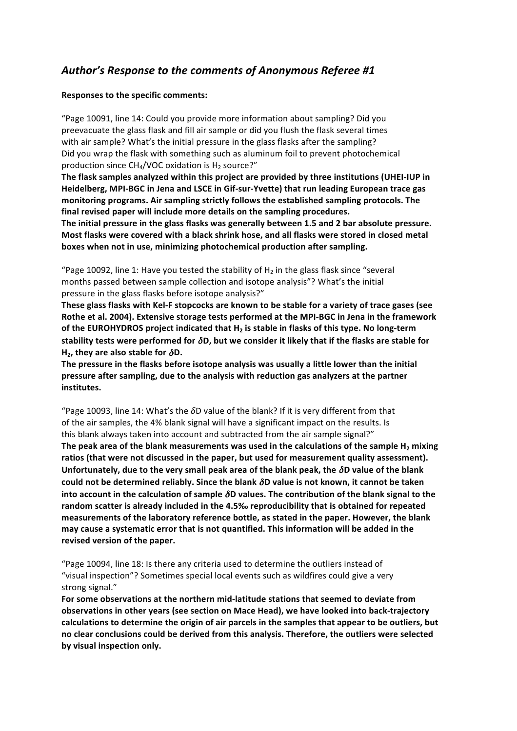## Author's Response to the comments of Anonymous Referee #1

## **Responses to the specific comments:**

"Page 10091, line 14: Could you provide more information about sampling? Did you preevacuate the glass flask and fill air sample or did you flush the flask several times with air sample? What's the initial pressure in the glass flasks after the sampling? Did you wrap the flask with something such as aluminum foil to prevent photochemical production since  $CH<sub>4</sub>/VOC$  oxidation is H<sub>2</sub> source?"

The flask samples analyzed within this project are provided by three institutions (UHEI-IUP in Heidelberg, MPI-BGC in Jena and LSCE in Gif-sur-Yvette) that run leading European trace gas monitoring programs. Air sampling strictly follows the established sampling protocols. The final revised paper will include more details on the sampling procedures.

The initial pressure in the glass flasks was generally between 1.5 and 2 bar absolute pressure. **Most flasks were covered with a black shrink hose, and all flasks were stored in closed metal** boxes when not in use, minimizing photochemical production after sampling.

"Page 10092, line 1: Have you tested the stability of H<sub>2</sub> in the glass flask since "several months passed between sample collection and isotope analysis"? What's the initial pressure in the glass flasks before isotope analysis?"

These glass flasks with Kel-F stopcocks are known to be stable for a variety of trace gases (see Rothe et al. 2004). Extensive storage tests performed at the MPI-BGC in Jena in the framework **of the EUROHYDROS project indicated that H<sub>2</sub> is stable in flasks of this type. No long-term stability tests were performed for δD, but we consider it likely that if the flasks are stable for H<sub>2</sub>, they are also stable for**  $\delta$ **D.** 

The pressure in the flasks before isotope analysis was usually a little lower than the initial **pressure after sampling, due to the analysis with reduction gas analyzers at the partner institutes.**

"Page 10093, line 14: What's the *δ*D value of the blank? If it is very different from that of the air samples, the 4% blank signal will have a significant impact on the results. Is this blank always taken into account and subtracted from the air sample signal?" The peak area of the blank measurements was used in the calculations of the sample H<sub>2</sub> mixing ratios (that were not discussed in the paper, but used for measurement quality assessment). Unfortunately, due to the very small peak area of the blank peak, the  $\delta$ D value of the blank **could not be determined reliably. Since the blank**  $\delta$ **D value is not known, it cannot be taken** into account in the calculation of sample  $\delta$ D values. The contribution of the blank signal to the random scatter is already included in the 4.5‰ reproducibility that is obtained for repeated **measurements of the laboratory reference bottle, as stated in the paper. However, the blank may cause a systematic error that is not quantified. This information will be added in the** revised version of the paper.

"Page 10094, line 18: Is there any criteria used to determine the outliers instead of "visual inspection"? Sometimes special local events such as wildfires could give a very strong signal."

For some observations at the northern mid-latitude stations that seemed to deviate from **observations in other years (see section on Mace Head), we have looked into back-trajectory** calculations to determine the origin of air parcels in the samples that appear to be outliers, but no clear conclusions could be derived from this analysis. Therefore, the outliers were selected **by!visual!inspection only.**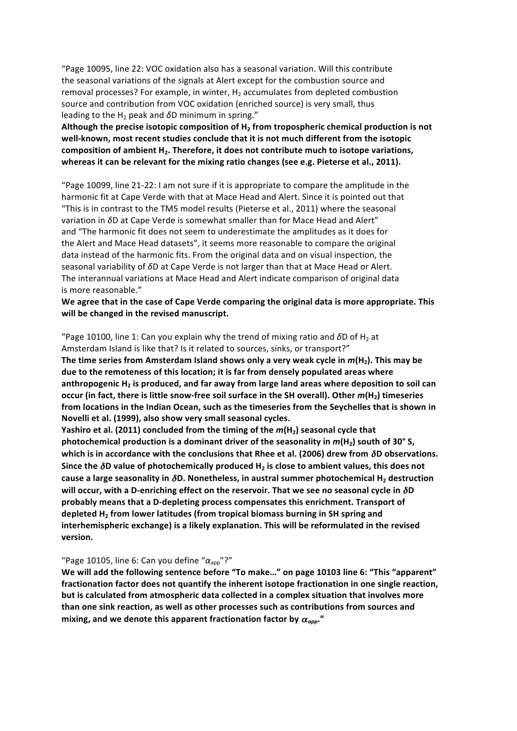"Page 10095, line 22: VOC oxidation also has a seasonal variation. Will this contribute the seasonal variations of the signals at Alert except for the combustion source and removal processes? For example, in winter,  $H_2$  accumulates from depleted combustion source and contribution from VOC oxidation (enriched source) is very small, thus leading to the H<sub>2</sub> peak and  $\delta$ D minimum in spring."

Although the precise isotopic composition of H<sub>2</sub> from tropospheric chemical production is not well-known, most recent studies conclude that it is not much different from the isotopic composition of ambient H<sub>2</sub>. Therefore, it does not contribute much to isotope variations, whereas it can be relevant for the mixing ratio changes (see e.g. Pieterse et al., 2011).

"Page 10099, line 21-22: I am not sure if it is appropriate to compare the amplitude in the harmonic fit at Cape Verde with that at Mace Head and Alert. Since it is pointed out that "This is in contrast to the TM5 model results (Pieterse et al., 2011) where the seasonal variation in *δ*D at Cape Verde is somewhat smaller than for Mace Head and Alert" and "The harmonic fit does not seem to underestimate the amplitudes as it does for the Alert and Mace Head datasets", it seems more reasonable to compare the original data instead of the harmonic fits. From the original data and on visual inspection, the seasonal variability of  $δD$  at Cape Verde is not larger than that at Mace Head or Alert. The interannual variations at Mace Head and Alert indicate comparison of original data is more reasonable."

We agree that in the case of Cape Verde comparing the original data is more appropriate. This will be changed in the revised manuscript.

"Page 10100, line 1: Can you explain why the trend of mixing ratio and  $\delta$ D of H<sub>2</sub> at Amsterdam Island is like that? Is it related to sources, sinks, or transport?" **The time series from Amsterdam Island shows only a very weak cycle in**  $m(H<sub>2</sub>)$ **. This may be** due to the remoteness of this location; it is far from densely populated areas where anthropogenic H<sub>2</sub> is produced, and far away from large land areas where deposition to soil can **occur** (in fact, there is little snow-free soil surface in the SH overall). Other  $m(H<sub>2</sub>)$  timeseries from locations in the Indian Ocean, such as the timeseries from the Seychelles that is shown in Novelli et al. (1999), also show very small seasonal cycles.

**Yashiro et al. (2011) concluded from the timing of the**  $m(H_2)$  **seasonal cycle that photochemical production is a dominant driver of the seasonality in**  $m(H_2)$  **south of 30° S, which is in accordance with the conclusions that Rhee et al. (2006) drew from δD observations.** Since the  $\delta$ D value of photochemically produced H<sub>2</sub> is close to ambient values, this does not **cause a large seasonality in δD. Nonetheless, in austral summer photochemical H<sub>2</sub> destruction will occur, with a D-enriching effect on the reservoir. That we see no seasonal cycle in δD** probably means that a D-depleting process compensates this enrichment. Transport of **depleted H<sub>2</sub> from lower latitudes (from tropical biomass burning in SH spring and** interhemispheric exchange) is a likely explanation. This will be reformulated in the revised **version.**

## "Page 10105, line 6: Can you define "α<sub>app</sub>"?"

We will add the following sentence before "To make..." on page 10103 line 6: "This "apparent" fractionation factor does not quantify the inherent isotope fractionation in one single reaction, but is calculated from atmospheric data collected in a complex situation that involves more than one sink reaction, as well as other processes such as contributions from sources and mixing, and we denote this apparent fractionation factor by  $\alpha_{app}$ ."